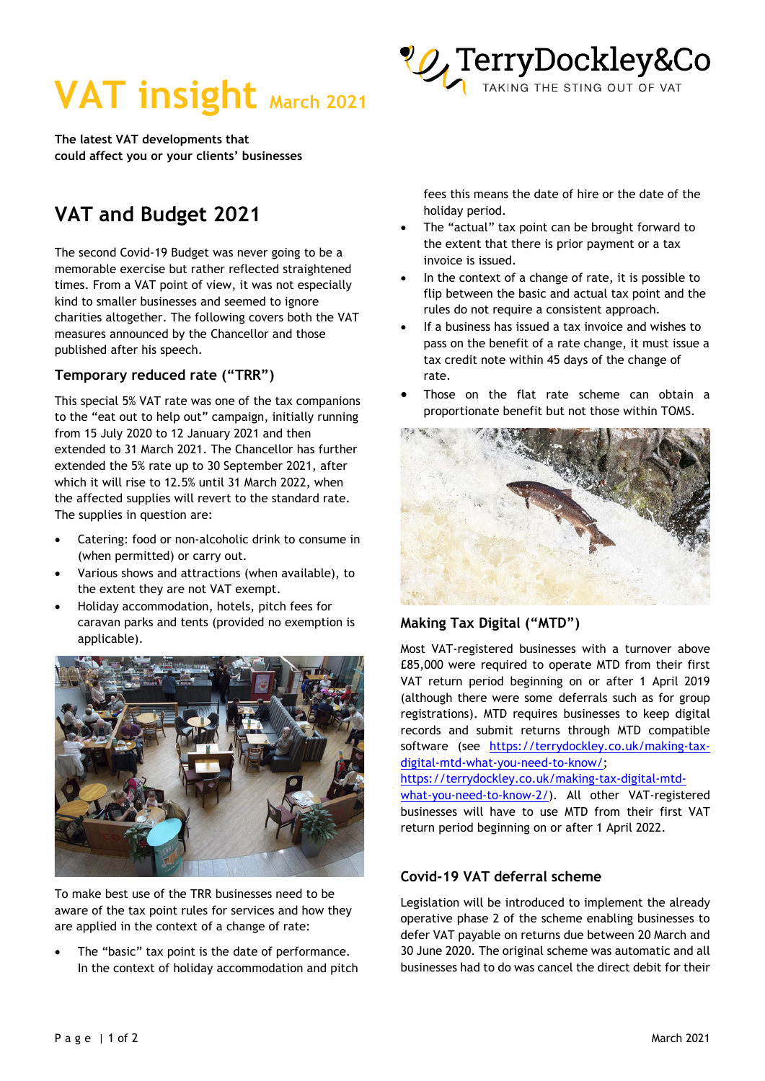



**The latest VAT developments that could affect you or your clients' businesses** 

# **VAT and Budget 2021**

The second Covid-19 Budget was never going to be a memorable exercise but rather reflected straightened times. From a VAT point of view, it was not especially kind to smaller businesses and seemed to ignore charities altogether. The following covers both the VAT measures announced by the Chancellor and those published after his speech.

# **Temporary reduced rate ("TRR")**

This special 5% VAT rate was one of the tax companions to the "eat out to help out" campaign, initially running from 15 July 2020 to 12 January 2021 and then extended to 31 March 2021. The Chancellor has further extended the 5% rate up to 30 September 2021, after which it will rise to 12.5% until 31 March 2022, when the affected supplies will revert to the standard rate. The supplies in question are:

- Catering: food or non-alcoholic drink to consume in (when permitted) or carry out.
- Various shows and attractions (when available), to the extent they are not VAT exempt.
- Holiday accommodation, hotels, pitch fees for caravan parks and tents (provided no exemption is applicable).



To make best use of the TRR businesses need to be aware of the tax point rules for services and how they are applied in the context of a change of rate:

The "basic" tax point is the date of performance. In the context of holiday accommodation and pitch fees this means the date of hire or the date of the holiday period.

- The "actual" tax point can be brought forward to the extent that there is prior payment or a tax invoice is issued.
- In the context of a change of rate, it is possible to flip between the basic and actual tax point and the rules do not require a consistent approach.
- If a business has issued a tax invoice and wishes to pass on the benefit of a rate change, it must issue a tax credit note within 45 days of the change of rate.
- Those on the flat rate scheme can obtain a proportionate benefit but not those within TOMS.



# **Making Tax Digital ("MTD")**

Most VAT-registered businesses with a turnover above £85,000 were required to operate MTD from their first VAT return period beginning on or after 1 April 2019 (although there were some deferrals such as for group registrations). MTD requires businesses to keep digital records and submit returns through MTD compatible software (see [https://terrydockley.co.uk/making-tax](https://terrydockley.co.uk/making-tax-digital-mtd-what-you-need-to-know/)[digital-mtd-what-you-need-to-know/;](https://terrydockley.co.uk/making-tax-digital-mtd-what-you-need-to-know/)

[https://terrydockley.co.uk/making-tax-digital-mtd](https://terrydockley.co.uk/making-tax-digital-mtd-what-you-need-to-know-2/)[what-you-need-to-know-2/\)](https://terrydockley.co.uk/making-tax-digital-mtd-what-you-need-to-know-2/). All other VAT-registered businesses will have to use MTD from their first VAT

## return period beginning on or after 1 April 2022.

## **Covid-19 VAT deferral scheme**

Legislation will be introduced to implement the already operative phase 2 of the scheme enabling businesses to defer VAT payable on returns due between 20 March and 30 June 2020. The original scheme was automatic and all businesses had to do was cancel the direct debit for their